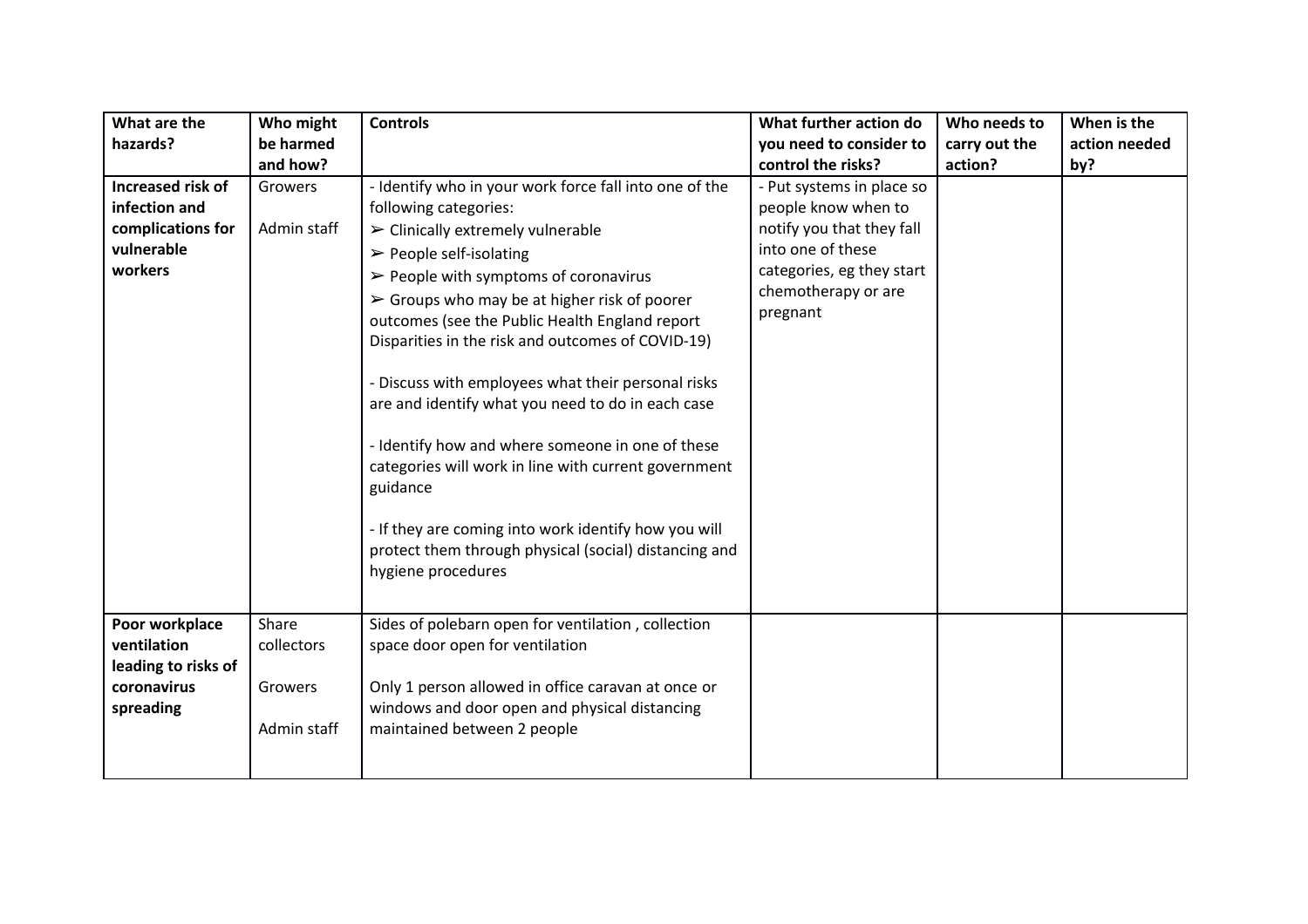| What are the                  | Who might           | <b>Controls</b>                                                                                                                                                                                                                       | What further action do                           | Who needs to  | When is the   |
|-------------------------------|---------------------|---------------------------------------------------------------------------------------------------------------------------------------------------------------------------------------------------------------------------------------|--------------------------------------------------|---------------|---------------|
| hazards?                      | be harmed           |                                                                                                                                                                                                                                       | you need to consider to                          | carry out the | action needed |
|                               | and how?            |                                                                                                                                                                                                                                       | control the risks?                               | action?       | by?           |
| Increased risk of             | Growers             | - Identify who in your work force fall into one of the                                                                                                                                                                                | - Put systems in place so                        |               |               |
| infection and                 |                     | following categories:                                                                                                                                                                                                                 | people know when to                              |               |               |
| complications for             | Admin staff         | $\triangleright$ Clinically extremely vulnerable                                                                                                                                                                                      | notify you that they fall                        |               |               |
| vulnerable                    |                     | $\triangleright$ People self-isolating                                                                                                                                                                                                | into one of these                                |               |               |
| workers                       |                     | $\triangleright$ People with symptoms of coronavirus                                                                                                                                                                                  | categories, eg they start<br>chemotherapy or are |               |               |
|                               |                     | $\triangleright$ Groups who may be at higher risk of poorer                                                                                                                                                                           | pregnant                                         |               |               |
|                               |                     | outcomes (see the Public Health England report<br>Disparities in the risk and outcomes of COVID-19)                                                                                                                                   |                                                  |               |               |
|                               |                     |                                                                                                                                                                                                                                       |                                                  |               |               |
|                               |                     | - Discuss with employees what their personal risks                                                                                                                                                                                    |                                                  |               |               |
|                               |                     | are and identify what you need to do in each case                                                                                                                                                                                     |                                                  |               |               |
|                               |                     | - Identify how and where someone in one of these<br>categories will work in line with current government<br>guidance<br>- If they are coming into work identify how you will<br>protect them through physical (social) distancing and |                                                  |               |               |
|                               |                     | hygiene procedures                                                                                                                                                                                                                    |                                                  |               |               |
| Poor workplace<br>ventilation | Share<br>collectors | Sides of polebarn open for ventilation, collection<br>space door open for ventilation                                                                                                                                                 |                                                  |               |               |
| leading to risks of           |                     |                                                                                                                                                                                                                                       |                                                  |               |               |
| coronavirus                   | Growers             | Only 1 person allowed in office caravan at once or                                                                                                                                                                                    |                                                  |               |               |
| spreading                     |                     | windows and door open and physical distancing                                                                                                                                                                                         |                                                  |               |               |
|                               | Admin staff         | maintained between 2 people                                                                                                                                                                                                           |                                                  |               |               |
|                               |                     |                                                                                                                                                                                                                                       |                                                  |               |               |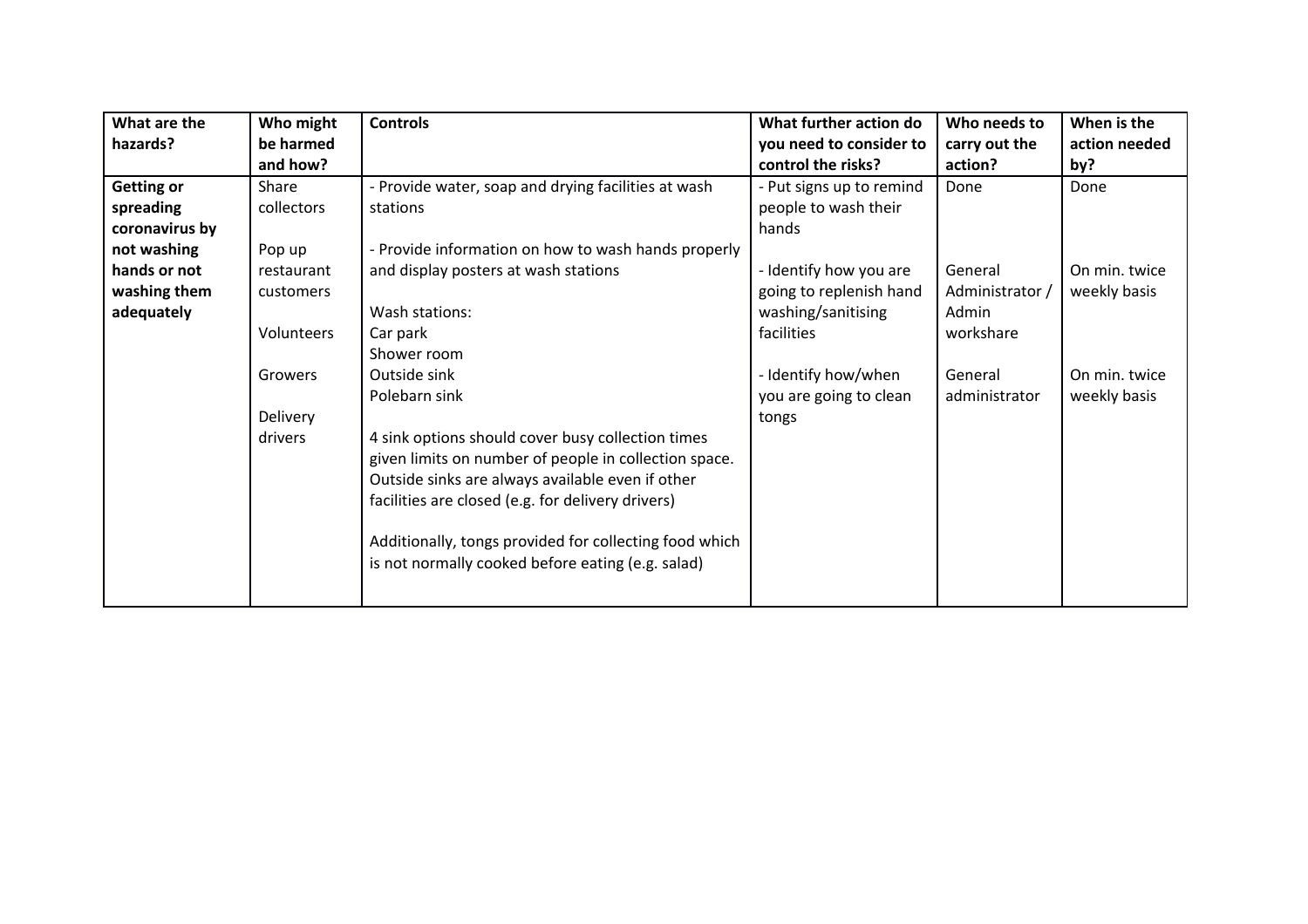| What are the      | Who might  | <b>Controls</b>                                        | What further action do   | Who needs to    | When is the   |
|-------------------|------------|--------------------------------------------------------|--------------------------|-----------------|---------------|
| hazards?          | be harmed  |                                                        | you need to consider to  | carry out the   | action needed |
|                   | and how?   |                                                        | control the risks?       | action?         | by?           |
| <b>Getting or</b> | Share      | - Provide water, soap and drying facilities at wash    | - Put signs up to remind | Done            | Done          |
| spreading         | collectors | stations                                               | people to wash their     |                 |               |
| coronavirus by    |            |                                                        | hands                    |                 |               |
| not washing       | Pop up     | - Provide information on how to wash hands properly    |                          |                 |               |
| hands or not      | restaurant | and display posters at wash stations                   | - Identify how you are   | General         | On min. twice |
| washing them      | customers  |                                                        | going to replenish hand  | Administrator / | weekly basis  |
| adequately        |            | Wash stations:                                         | washing/sanitising       | Admin           |               |
|                   | Volunteers | Car park                                               | facilities               | workshare       |               |
|                   |            | Shower room                                            |                          |                 |               |
|                   | Growers    | Outside sink                                           | - Identify how/when      | General         | On min. twice |
|                   |            | Polebarn sink                                          | you are going to clean   | administrator   | weekly basis  |
|                   | Delivery   |                                                        | tongs                    |                 |               |
|                   | drivers    | 4 sink options should cover busy collection times      |                          |                 |               |
|                   |            | given limits on number of people in collection space.  |                          |                 |               |
|                   |            | Outside sinks are always available even if other       |                          |                 |               |
|                   |            | facilities are closed (e.g. for delivery drivers)      |                          |                 |               |
|                   |            |                                                        |                          |                 |               |
|                   |            | Additionally, tongs provided for collecting food which |                          |                 |               |
|                   |            | is not normally cooked before eating (e.g. salad)      |                          |                 |               |
|                   |            |                                                        |                          |                 |               |
|                   |            |                                                        |                          |                 |               |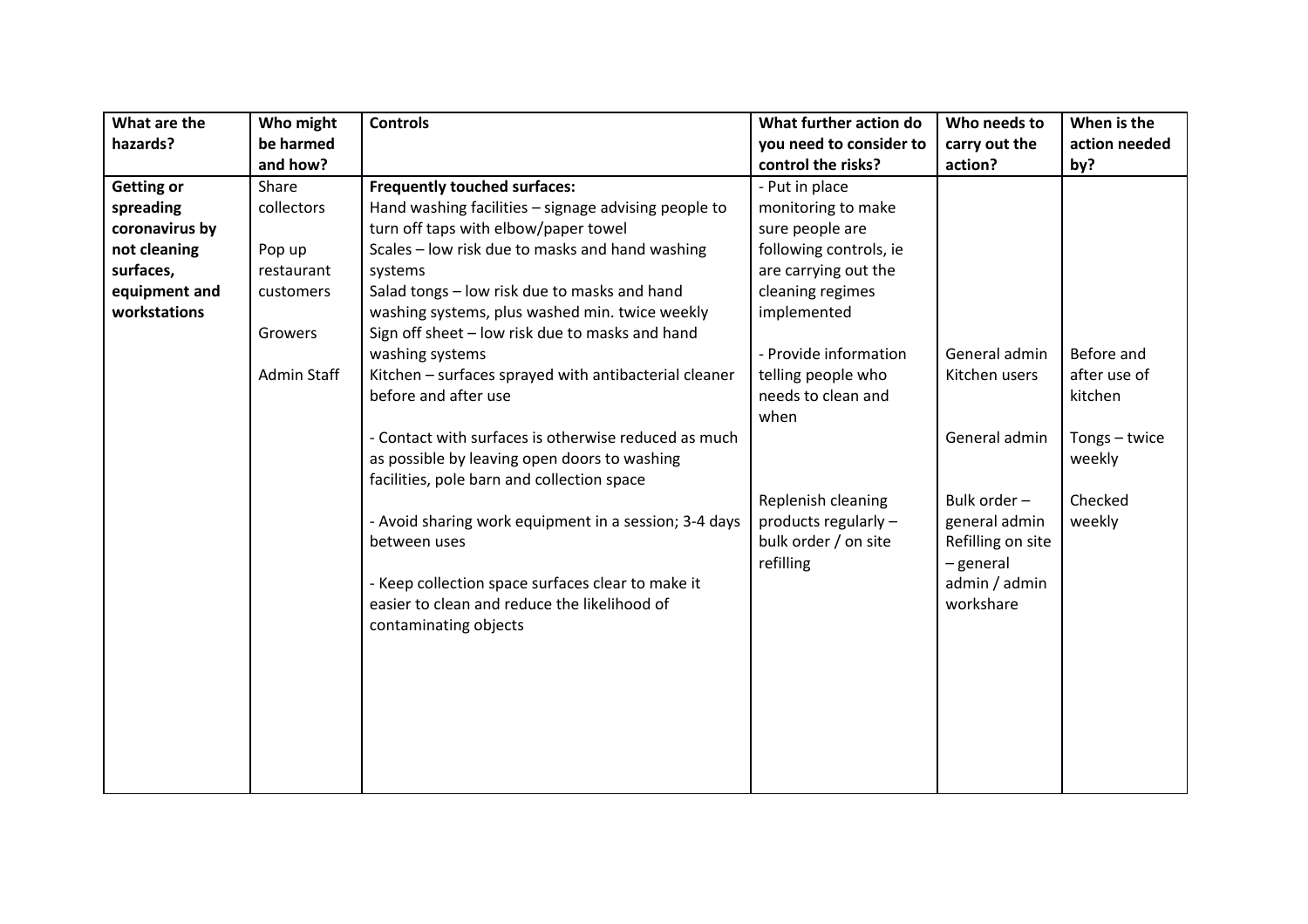| What are the      | Who might   | <b>Controls</b>                                       | What further action do  | Who needs to      | When is the   |
|-------------------|-------------|-------------------------------------------------------|-------------------------|-------------------|---------------|
| hazards?          | be harmed   |                                                       | you need to consider to | carry out the     | action needed |
|                   | and how?    |                                                       | control the risks?      | action?           | by?           |
| <b>Getting or</b> | Share       | <b>Frequently touched surfaces:</b>                   | - Put in place          |                   |               |
| spreading         | collectors  | Hand washing facilities - signage advising people to  | monitoring to make      |                   |               |
| coronavirus by    |             | turn off taps with elbow/paper towel                  | sure people are         |                   |               |
| not cleaning      | Pop up      | Scales - low risk due to masks and hand washing       | following controls, ie  |                   |               |
| surfaces,         | restaurant  | systems                                               | are carrying out the    |                   |               |
| equipment and     | customers   | Salad tongs - low risk due to masks and hand          | cleaning regimes        |                   |               |
| workstations      |             | washing systems, plus washed min. twice weekly        | implemented             |                   |               |
|                   | Growers     | Sign off sheet - low risk due to masks and hand       |                         |                   |               |
|                   |             | washing systems                                       | - Provide information   | General admin     | Before and    |
|                   | Admin Staff | Kitchen - surfaces sprayed with antibacterial cleaner | telling people who      | Kitchen users     | after use of  |
|                   |             | before and after use                                  | needs to clean and      |                   | kitchen       |
|                   |             |                                                       | when                    |                   |               |
|                   |             | - Contact with surfaces is otherwise reduced as much  |                         | General admin     | Tongs - twice |
|                   |             | as possible by leaving open doors to washing          |                         |                   | weekly        |
|                   |             | facilities, pole barn and collection space            |                         |                   |               |
|                   |             |                                                       | Replenish cleaning      | Bulk order -      | Checked       |
|                   |             | - Avoid sharing work equipment in a session; 3-4 days | products regularly -    | general admin     | weekly        |
|                   |             | between uses                                          | bulk order / on site    | Refilling on site |               |
|                   |             |                                                       | refilling               | - general         |               |
|                   |             | - Keep collection space surfaces clear to make it     |                         | admin / admin     |               |
|                   |             | easier to clean and reduce the likelihood of          |                         | workshare         |               |
|                   |             | contaminating objects                                 |                         |                   |               |
|                   |             |                                                       |                         |                   |               |
|                   |             |                                                       |                         |                   |               |
|                   |             |                                                       |                         |                   |               |
|                   |             |                                                       |                         |                   |               |
|                   |             |                                                       |                         |                   |               |
|                   |             |                                                       |                         |                   |               |
|                   |             |                                                       |                         |                   |               |
|                   |             |                                                       |                         |                   |               |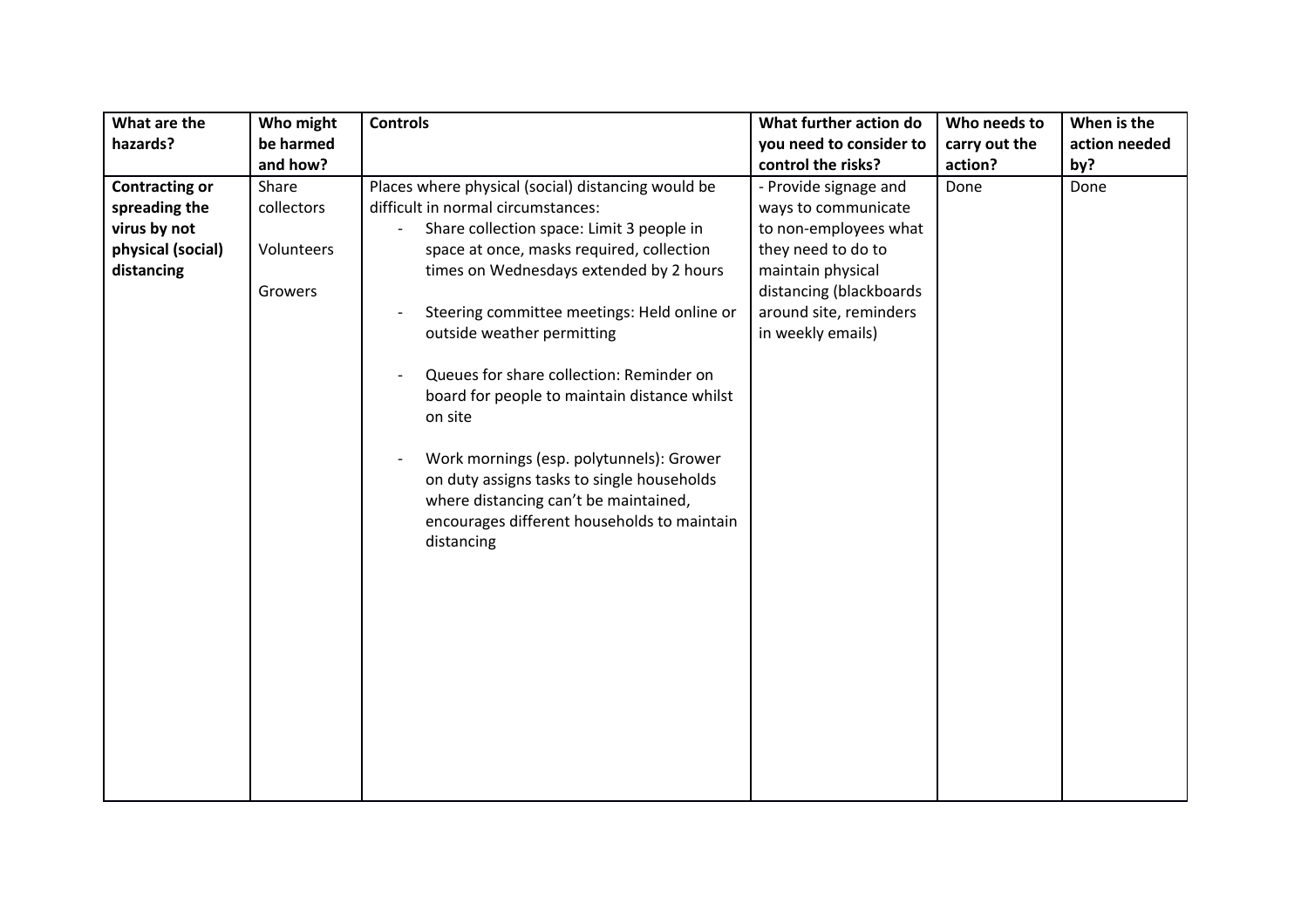| What are the          | Who might  | <b>Controls</b>                                            | What further action do  | Who needs to  | When is the   |
|-----------------------|------------|------------------------------------------------------------|-------------------------|---------------|---------------|
| hazards?              | be harmed  |                                                            | you need to consider to | carry out the | action needed |
|                       | and how?   |                                                            | control the risks?      | action?       | by?           |
| <b>Contracting or</b> | Share      | Places where physical (social) distancing would be         | - Provide signage and   | Done          | Done          |
| spreading the         | collectors | difficult in normal circumstances:                         | ways to communicate     |               |               |
| virus by not          |            | Share collection space: Limit 3 people in                  | to non-employees what   |               |               |
| physical (social)     | Volunteers | space at once, masks required, collection                  | they need to do to      |               |               |
| distancing            |            | times on Wednesdays extended by 2 hours                    | maintain physical       |               |               |
|                       | Growers    |                                                            | distancing (blackboards |               |               |
|                       |            | Steering committee meetings: Held online or                | around site, reminders  |               |               |
|                       |            | outside weather permitting                                 | in weekly emails)       |               |               |
|                       |            |                                                            |                         |               |               |
|                       |            | Queues for share collection: Reminder on<br>$\overline{a}$ |                         |               |               |
|                       |            | board for people to maintain distance whilst               |                         |               |               |
|                       |            | on site                                                    |                         |               |               |
|                       |            |                                                            |                         |               |               |
|                       |            | Work mornings (esp. polytunnels): Grower<br>$\overline{a}$ |                         |               |               |
|                       |            | on duty assigns tasks to single households                 |                         |               |               |
|                       |            | where distancing can't be maintained,                      |                         |               |               |
|                       |            | encourages different households to maintain                |                         |               |               |
|                       |            | distancing                                                 |                         |               |               |
|                       |            |                                                            |                         |               |               |
|                       |            |                                                            |                         |               |               |
|                       |            |                                                            |                         |               |               |
|                       |            |                                                            |                         |               |               |
|                       |            |                                                            |                         |               |               |
|                       |            |                                                            |                         |               |               |
|                       |            |                                                            |                         |               |               |
|                       |            |                                                            |                         |               |               |
|                       |            |                                                            |                         |               |               |
|                       |            |                                                            |                         |               |               |
|                       |            |                                                            |                         |               |               |